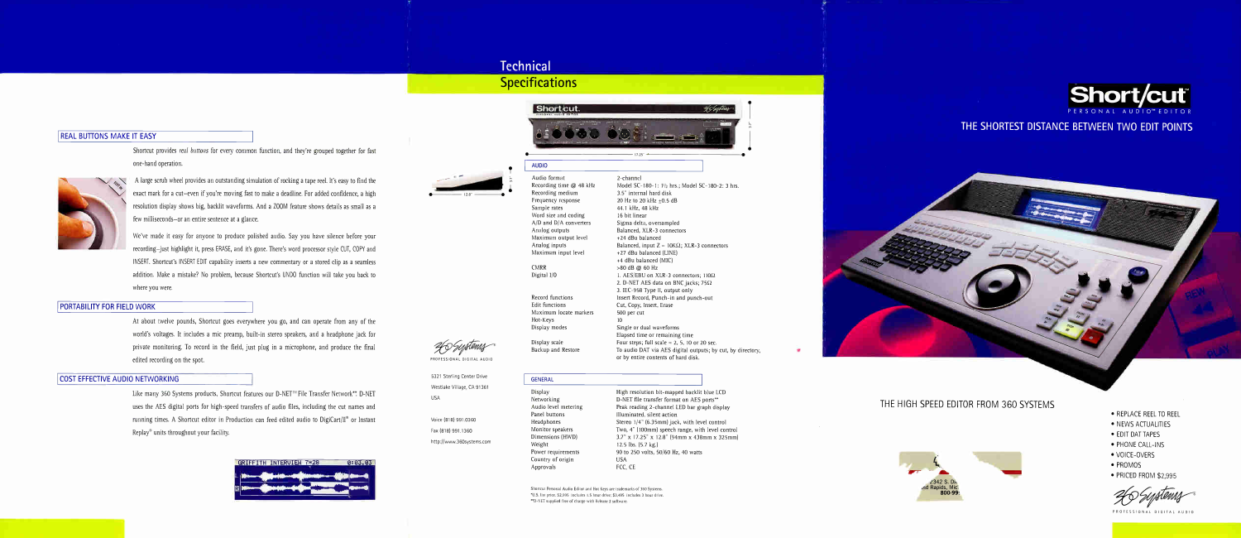# **Technical Specifications**

Short/cut.

## REAL BUTTONS MAKE IT EASY

Shortcut provides real buttons for every common function, and they're grouped together for fast one-hand operation.



A large scrub wheel provides an outstanding simulation of rocking a tape reel. It's easy to find the exact mark for a cut—even if you're moving fast to make a deadline. For added confidence, a high resolution display shows big, backlit waveforms. And a ZOOM feature shows details as small as a few milliseconds—or an entire sentence at a glance.

We've made it easy for anyone to produce polished audio. Say you have silence before your recording—just highlight it, press ERASE, and it's gone. There's word processor style CUT, COPY and INSERT. Shortcut's INSERT EDIT capability inserts a new commentary or a stored clip as a seamless addition. Make a mistake? No problem, because Shortcut's UNDO function will take you back to where you were.

## PORTABILITY FOR FIELD WORK

At about twelve pounds, Shortcut goes everywhere you go, and can operate from any of the world's voltages. It includes a mic preamp, built-in stereo speakers, and a headphone jack for private monitoring. To record in the field, just plug in a microphone, and produce the final edited recording on the spot.

## COST EFFECTIVE AUDIO NETWORKING

Like many 360 Systems products, Shortcut features our D-NET™ File Transfer Network\*\*. D-NET uses the AES digital ports for high-speed transfers of audio files, including the cut names and running times. A Shortcut editor in Production can feed edited audio to DigiCart/II<sup>®</sup> or Instant Replay $\mathcal Y$  units throughout your facility.



Four steps; full scale  $= 2, 5, 10$  or 20 sec. To audio DAT via AES digital outputs; by cut, by directory, or by entire contents of hard disk.



PROFESSIONAL DIGITAL AUDIO

5321 Sterling Center Drive Westlake Village, CA 91361 USA

Voice (818) 991.0360 Fax (818) 991.1360 http://www.360systems.com



## AUDIO Audio format

Recording time @ 48 kHz Recording medium Frequency response Sample rates Word size and coding A/D and D/A converters Analog outputs Maximum output level Analog inputs Maximum input level

CMRR Digital I/O

Record functions Edit functions Maximum locate markers Hot-Keys Display modes

Display scale Backup and Restore

### 2-channel

Model SC-180-1: hrs.; Model SC-I80-2: 3 hrs. 3.5" internal hard disk 20 Hz to 20 kHz +0.5 dB 44.1 kHz, 48 kHz 16 bit linear Sigma delta, oversampled Balanced, XLR-3 connectors +24 dBu balanced Balanced, input  $Z = 10K\Omega$ ; XLR-3 connectors +27 dBu balanced (LINE) +4 dBu balanced (MIC) >80 dB @ 60 Hz 1. AES/EBU on XLR-3 connectors;  $110\Omega$ 2. D-NET AES data on BNC jacks;  $75\Omega$ 3. IEC-958 Type II, output only Insert Record, Punch-in and punch-out Cut, Copy, Insert, Erase 500 per cut 10 Single or dual waveforms Elapsed time or remaining time

### GENERAL

Display Networking Audio level metering Panel buttons Headphones Monitor speakers Dimensions (HWD) Weight Power requirements Country of origin Approvals

High resolution bit-mapped backlit blue LCD D-NET file transfer format on AES ports\*\* Peak reading 2-channel LED bar graph display Illuminated, silent action Stereo 1/4" (6.35mm) jack, with level control Two, 4" (100mm) speech range, with level control 3.7" x 17.25" x 12.8" (94mm x 438mm x 325mm) 12.5 lbs. (5.7 kg.) 90 to 250 volts, 50/60 Hz, 40 watts USA

FCC, CE



Shortcut Personal Audio Editor and Hot Keys are trademarks of 360 Systems. \*U.S. list price. \$2,995 includes 1.5 hour drive; \$3,495 includes 3 hour drive. \*\*D-NET supplied free of charge with Release 2 software.

I

## THE SHORTEST DISTANCE BETWEEN TWO EDIT POINTS

## THE HIGH SPEED EDITOR FROM 360 SYSTEMS



- REPLACE REEL TO REEL
- NEWS ACTUALITIES
- EDIT DAT TAPES
- PHONE CALL-INS
- VOICE-OVERS
- PROMOS
- PRICED FROM \$2,995

PROFESSIONAL DIGITAL AUDIC